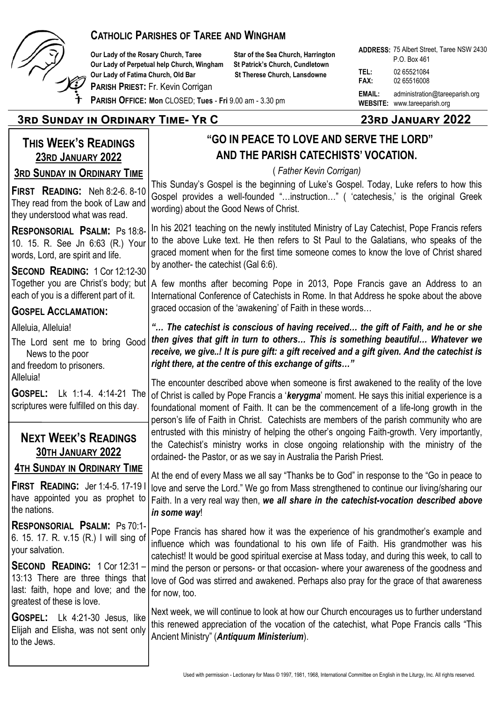

#### **CATHOLIC PARISHES OF TAREE AND WINGHAM**

**Our Lady of the Rosary Church, Taree Star of the Sea Church, Harrington Our Lady of Perpetual help Church, Wingham St Patrick's Church, Cundletown Our Lady of Fatima Church, Old Bar St Therese Church, Lansdowne** 

**PARISH PRIEST:** Fr. Kevin Corrigan

**ADDRESS:**  75 Albert Street, Taree NSW 2430 **TEL:** 02 65521084 **FAX:** 02 65516008 **EMAIL:** administration@tareeparish.org **WEBSITE:** www.tareeparish.org P.O. Box 461

**PARISH OFFICE: Mon** CLOSED; **Tues** - **Fri** 9.00 am - 3.30 pm

#### **3rd Sunday in Ordinary Time- Yr C 23rd January 2022**

#### **THIS WEEK'S READINGS 23RD JANUARY 2022 3RD SUNDAY IN ORDINARY TIME FIRST READING:** Neh 8:2-6. 8-10 They read from the book of Law and they understood what was read. **RESPONSORIAL PSALM:** Ps 18:8- 10. 15. R. See Jn 6:63 (R.) Your words, Lord, are spirit and life. **SECOND READING:** 1 Cor 12:12-30 Together you are Christ's body; but each of you is a different part of it. **GOSPEL ACCLAMATION:** Alleluia, Alleluia! The Lord sent me to bring Good News to the poor and freedom to prisoners. Alleluia! **GOSPEL:** Lk 1:1-4. 4:14-21 The scriptures were fulfilled on this day. **NEXT WEEK'S READINGS 30TH JANUARY 2022 4TH SUNDAY IN ORDINARY TIME FIRST READING:** Jer 1:4-5. 17-19 I have appointed you as prophet to the nations. **RESPONSORIAL PSALM:** Ps 70:1- 6. 15. 17. R. v.15 (R.) I will sing of your salvation. **SECOND READING:** 1 Cor 12:31 – 13:13 There are three things that last: faith, hope and love; and the greatest of these is love. **GOSPEL:** Lk 4:21-30 Jesus, like Elijah and Elisha, was not sent only to the Jews.  **"GO IN PEACE TO LOVE AND SERVE THE LORD" AND THE PARISH CATECHISTS' VOCATION.** ( *Father Kevin Corrigan)* This Sunday's Gospel is the beginning of Luke's Gospel. Today, Luke refers to how this Gospel provides a well-founded "…instruction…" ( 'catechesis,' is the original Greek wording) about the Good News of Christ. In his 2021 teaching on the newly instituted Ministry of Lay Catechist, Pope Francis refers to the above Luke text. He then refers to St Paul to the Galatians, who speaks of the graced moment when for the first time someone comes to know the love of Christ shared by another- the catechist (Gal 6:6). A few months after becoming Pope in 2013, Pope Francis gave an Address to an International Conference of Catechists in Rome. In that Address he spoke about the above graced occasion of the 'awakening' of Faith in these words… *"… The catechist is conscious of having received… the gift of Faith, and he or she then gives that gift in turn to others… This is something beautiful… Whatever we receive, we give..! It is pure gift: a gift received and a gift given. And the catechist is right there, at the centre of this exchange of gifts…"* The encounter described above when someone is first awakened to the reality of the love of Christ is called by Pope Francis a '*kerygma*' moment. He says this initial experience is a foundational moment of Faith. It can be the commencement of a life-long growth in the person's life of Faith in Christ. Catechists are members of the parish community who are entrusted with this ministry of helping the other's ongoing Faith-growth. Very importantly, the Catechist's ministry works in close ongoing relationship with the ministry of the ordained- the Pastor, or as we say in Australia the Parish Priest. At the end of every Mass we all say "Thanks be to God" in response to the "Go in peace to love and serve the Lord." We go from Mass strengthened to continue our living/sharing our Faith. In a very real way then, *we all share in the catechist-vocation described above in some way*! Pope Francis has shared how it was the experience of his grandmother's example and influence which was foundational to his own life of Faith. His grandmother was his catechist! It would be good spiritual exercise at Mass today, and during this week, to call to mind the person or persons- or that occasion- where your awareness of the goodness and love of God was stirred and awakened. Perhaps also pray for the grace of that awareness for now, too. Next week, we will continue to look at how our Church encourages us to further understand this renewed appreciation of the vocation of the catechist, what Pope Francis calls "This Ancient Ministry" (*Antiquum Ministerium*).